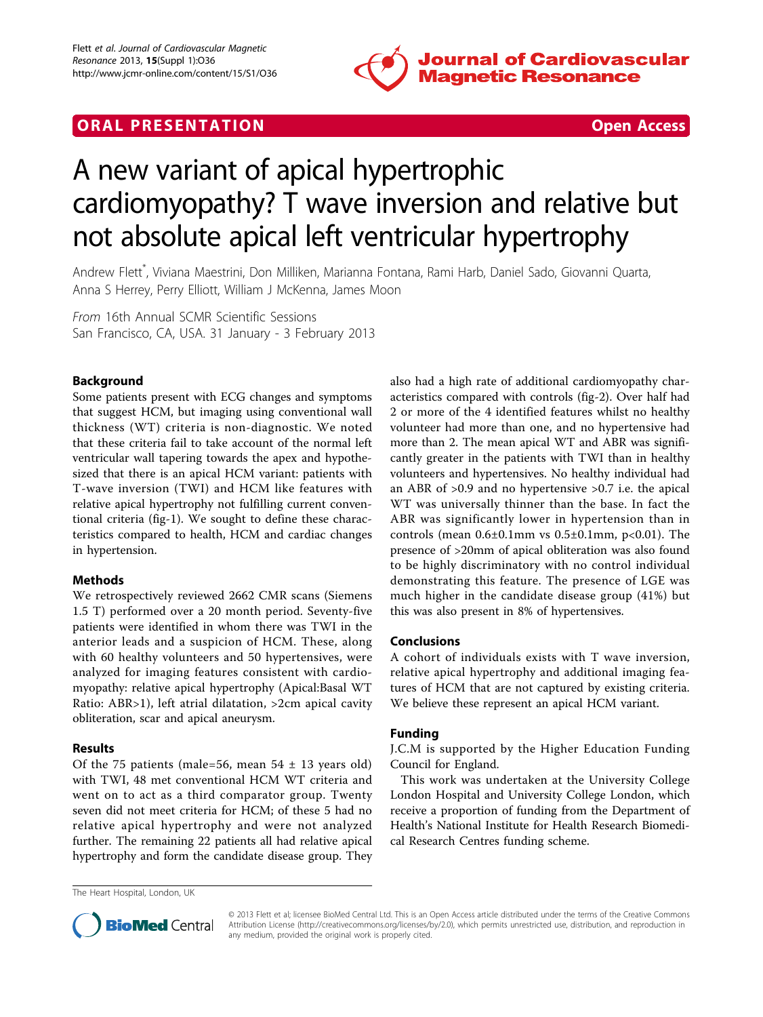

## **ORAL PRESENTATION OPEN ACCESS**



# A new variant of apical hypertrophic cardiomyopathy? T wave inversion and relative but not absolute apical left ventricular hypertrophy

Andrew Flett\* , Viviana Maestrini, Don Milliken, Marianna Fontana, Rami Harb, Daniel Sado, Giovanni Quarta, Anna S Herrey, Perry Elliott, William J McKenna, James Moon

From 16th Annual SCMR Scientific Sessions San Francisco, CA, USA. 31 January - 3 February 2013

#### Background

Some patients present with ECG changes and symptoms that suggest HCM, but imaging using conventional wall thickness (WT) criteria is non-diagnostic. We noted that these criteria fail to take account of the normal left ventricular wall tapering towards the apex and hypothesized that there is an apical HCM variant: patients with T-wave inversion (TWI) and HCM like features with relative apical hypertrophy not fulfilling current conventional criteria (fig[-1\)](#page-1-0). We sought to define these characteristics compared to health, HCM and cardiac changes in hypertension.

#### Methods

We retrospectively reviewed 2662 CMR scans (Siemens 1.5 T) performed over a 20 month period. Seventy-five patients were identified in whom there was TWI in the anterior leads and a suspicion of HCM. These, along with 60 healthy volunteers and 50 hypertensives, were analyzed for imaging features consistent with cardiomyopathy: relative apical hypertrophy (Apical:Basal WT Ratio: ABR>1), left atrial dilatation, >2cm apical cavity obliteration, scar and apical aneurysm.

#### Results

Of the 75 patients (male=56, mean  $54 \pm 13$  years old) with TWI, 48 met conventional HCM WT criteria and went on to act as a third comparator group. Twenty seven did not meet criteria for HCM; of these 5 had no relative apical hypertrophy and were not analyzed further. The remaining 22 patients all had relative apical hypertrophy and form the candidate disease group. They

also had a high rate of additional cardiomyopathy characteristics compared with controls (fig-[2\)](#page-1-0). Over half had 2 or more of the 4 identified features whilst no healthy volunteer had more than one, and no hypertensive had more than 2. The mean apical WT and ABR was significantly greater in the patients with TWI than in healthy volunteers and hypertensives. No healthy individual had an ABR of >0.9 and no hypertensive >0.7 i.e. the apical WT was universally thinner than the base. In fact the ABR was significantly lower in hypertension than in controls (mean  $0.6\pm0.1$ mm vs  $0.5\pm0.1$ mm, p<0.01). The presence of >20mm of apical obliteration was also found to be highly discriminatory with no control individual demonstrating this feature. The presence of LGE was much higher in the candidate disease group (41%) but this was also present in 8% of hypertensives.

#### Conclusions

A cohort of individuals exists with T wave inversion, relative apical hypertrophy and additional imaging features of HCM that are not captured by existing criteria. We believe these represent an apical HCM variant.

### Funding

J.C.M is supported by the Higher Education Funding Council for England.

This work was undertaken at the University College London Hospital and University College London, which receive a proportion of funding from the Department of Health's National Institute for Health Research Biomedical Research Centres funding scheme.

The Heart Hospital, London, UK



© 2013 Flett et al; licensee BioMed Central Ltd. This is an Open Access article distributed under the terms of the Creative Commons Attribution License [\(http://creativecommons.org/licenses/by/2.0](http://creativecommons.org/licenses/by/2.0)), which permits unrestricted use, distribution, and reproduction in any medium, provided the original work is properly cited.